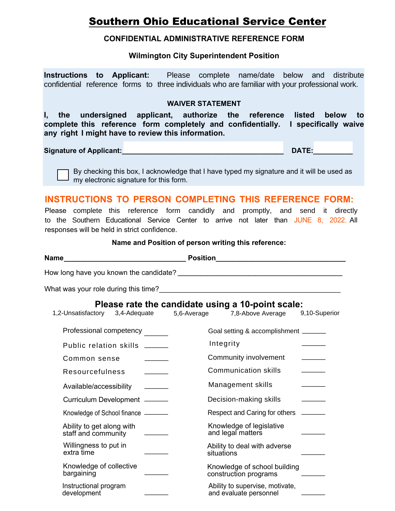# **Southern Ohio Educational Service Center**

#### **CONFIDENTIAL ADMINISTRATIVE REFERENCE FORM**

### **Wilmington City Superintendent Position**

**Instructions to Applicant:** Please complete name/date below and distribute confidential reference forms to three individuals who are familiar with your professional work.

#### **WAIVER STATEMENT**

**I, the undersigned applicant, authorize the reference listed below to complete this reference form completely and confidentially. I specifically waive any right I might have to review this information.** 

Signature of Applicant:<br>
and the set of Applicant:<br>
and the set of the set of the set of the set of the set of the set of the set of the set of the set of the set of the set of the set of the set of the set of the set of t

By checking this box, I acknowledge that I have typed my signature and it will be used as my electronic signature for this form.

## **INSTRUCTIONS TO PERSON COMPLETING THIS REFERENCE FORM:**

Please complete this reference form candidly and promptly, and send it directly to the Southern Educational Service Center to arrive not later than JUNE 8, 2022. All responses will be held in strict confidence.

#### **Name and Position of person writing this reference:**

|                                                                               | Please rate the candidate using a 10-point scale:                              |
|-------------------------------------------------------------------------------|--------------------------------------------------------------------------------|
|                                                                               | 1,2-Unsatisfactory 3,4-Adequate 5,6-Average 7,8-Above Average<br>9,10-Superior |
| Professional competency ______                                                | Goal setting & accomplishment ______                                           |
| Public relation skills ______                                                 | Integrity                                                                      |
| Common sense                                                                  | Community involvement                                                          |
| Resourcefulness                                                               | <b>Communication skills</b>                                                    |
| Available/accessibility _______                                               | Management skills                                                              |
| Curriculum Development ______                                                 | Decision-making skills                                                         |
| Knowledge of School finance ______                                            | Respect and Caring for others ______                                           |
| Ability to get along with<br><u> 1989 - Andrea Sta</u><br>staff and community | Knowledge of legislative<br>and legal matters                                  |
| Willingness to put in<br>extra time                                           | Ability to deal with adverse<br>situations                                     |
| Knowledge of collective<br>bargaining                                         | Knowledge of school building<br>construction programs                          |
| Instructional program<br>development                                          | Ability to supervise, motivate,<br>and evaluate personnel                      |